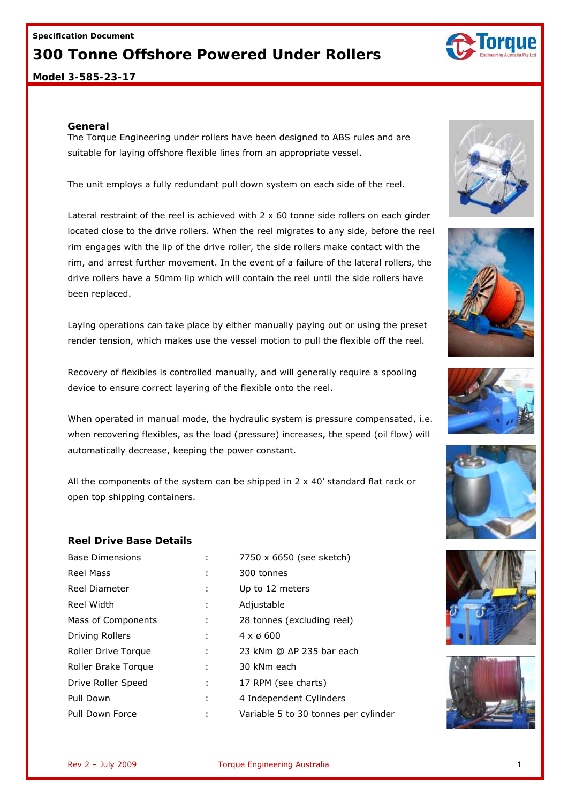#### **Specification Document**

## **300 Tonne Offshore Powered Under Rollers**

**Model 3-585-23-17**

#### **General**

The Torque Engineering under rollers have been designed to ABS rules and are suitable for laying offshore flexible lines from an appropriate vessel.

The unit employs a fully redundant pull down system on each side of the reel.

Lateral restraint of the reel is achieved with  $2 \times 60$  tonne side rollers on each girder located close to the drive rollers. When the reel migrates to any side, before the reel rim engages with the lip of the drive roller, the side rollers make contact with the rim, and arrest further movement. In the event of a failure of the lateral rollers, the drive rollers have a 50mm lip which will contain the reel until the side rollers have been replaced.

Laying operations can take place by either manually paying out or using the preset render tension, which makes use the vessel motion to pull the flexible off the reel.

Recovery of flexibles is controlled manually, and will generally require a spooling device to ensure correct layering of the flexible onto the reel.

When operated in manual mode, the hydraulic system is pressure compensated, i.e. when recovering flexibles, as the load (pressure) increases, the speed (oil flow) will automatically decrease, keeping the power constant.

All the components of the system can be shipped in  $2 \times 40'$  standard flat rack or open top shipping containers.

### **Reel Drive Base Details**

| <b>Base Dimensions</b> |   | 7750 x 6650 (see sketch)             |
|------------------------|---|--------------------------------------|
| <b>Reel Mass</b>       |   | 300 tonnes                           |
| Reel Diameter          | ÷ | Up to 12 meters                      |
| Reel Width             |   | Adjustable                           |
| Mass of Components     | ÷ | 28 tonnes (excluding reel)           |
| Driving Rollers        |   | $4 \times 6600$                      |
| Roller Drive Torque    | ÷ | 23 kNm @ ∆P 235 bar each             |
| Roller Brake Torque    |   | 30 kNm each                          |
| Drive Roller Speed     | ÷ | 17 RPM (see charts)                  |
| Pull Down              | ÷ | 4 Independent Cylinders              |
| Pull Down Force        | ÷ | Variable 5 to 30 tonnes per cylinder |













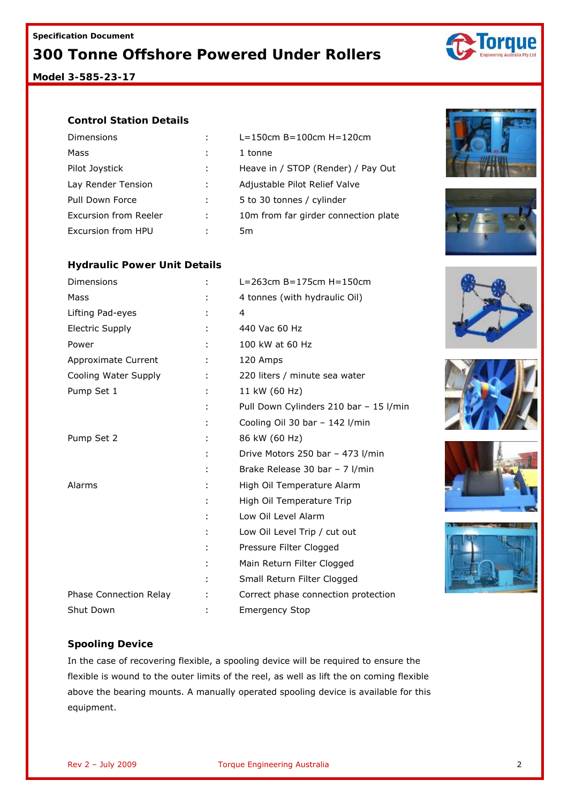**Model 3-585-23-17**

### **Control Station Details**

| Dimensions            |   | $L = 150$ cm B=100cm H=120cm         |
|-----------------------|---|--------------------------------------|
| Mass                  |   | 1 tonne                              |
| Pilot Joystick        |   | Heave in / STOP (Render) / Pay Out   |
| Lay Render Tension    |   | Adjustable Pilot Relief Valve        |
| Pull Down Force       |   | 5 to 30 tonnes / cylinder            |
| Excursion from Reeler | ÷ | 10m from far girder connection plate |
| Excursion from HPU    |   | Ьm                                   |

### **Hydraulic Power Unit Details**

| Dimensions             | $L = 263$ cm B=175cm H=150cm           |  |
|------------------------|----------------------------------------|--|
| Mass                   | 4 tonnes (with hydraulic Oil)          |  |
| Lifting Pad-eyes       | 4                                      |  |
| <b>Electric Supply</b> | 440 Vac 60 Hz                          |  |
| Power                  | 100 kW at 60 Hz                        |  |
| Approximate Current    | 120 Amps                               |  |
| Cooling Water Supply   | 220 liters / minute sea water          |  |
| Pump Set 1             | 11 kW (60 Hz)                          |  |
|                        | Pull Down Cylinders 210 bar - 15 l/min |  |
|                        | Cooling Oil 30 bar - 142 l/min         |  |
| Pump Set 2             | 86 kW (60 Hz)                          |  |
|                        | Drive Motors 250 bar - 473 l/min       |  |
|                        | Brake Release 30 bar - 7 l/min         |  |
| Alarms                 | High Oil Temperature Alarm             |  |
|                        | High Oil Temperature Trip              |  |
|                        | Low Oil Level Alarm                    |  |
|                        | Low Oil Level Trip / cut out           |  |
|                        | Pressure Filter Clogged                |  |
|                        | Main Return Filter Clogged             |  |
|                        | Small Return Filter Clogged            |  |
| Phase Connection Relay | Correct phase connection protection    |  |
| Shut Down              | <b>Emergency Stop</b>                  |  |













## **Spooling Device**

In the case of recovering flexible, a spooling device will be required to ensure the flexible is wound to the outer limits of the reel, as well as lift the on coming flexible above the bearing mounts. A manually operated spooling device is available for this equipment.



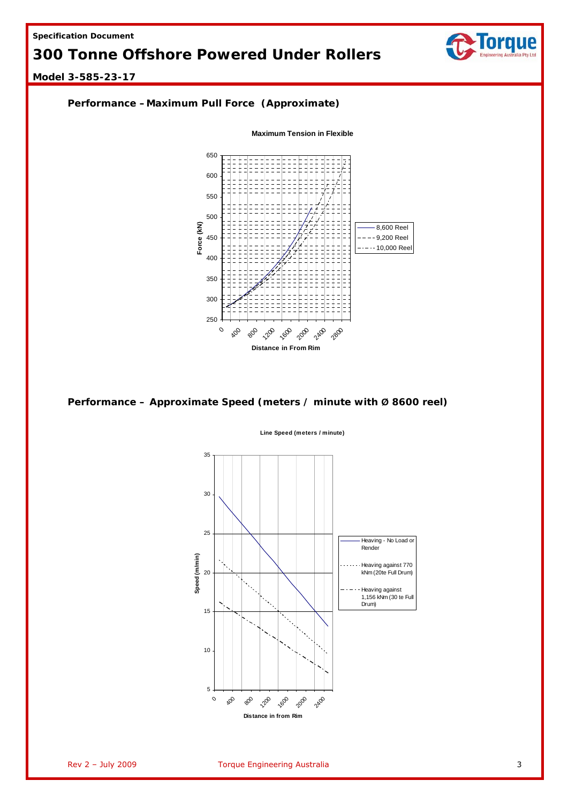

### **Model 3-585-23-17**



### **Performance – Approximate Speed (meters / minute with Ø 8600 reel)**



**Line Speed (meters / minute)**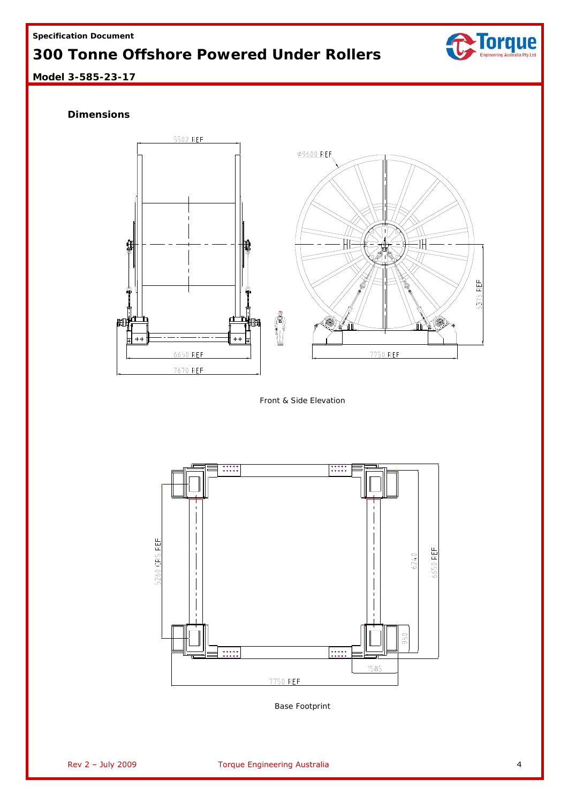

**Model 3-585-23-17**

## **Dimensions**



*Front & Side Elevation* 



*Base Footprint*